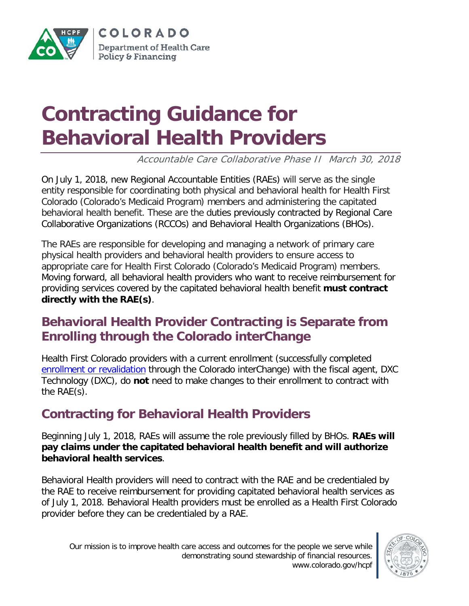

COLORADO Department of Health Care **Policy & Financing** 

# **Contracting Guidance for Behavioral Health Providers**

Accountable Care Collaborative Phase II March 30, 2018

On July 1, 2018, new Regional Accountable Entities (RAEs) will serve as the single entity responsible for coordinating both physical and behavioral health for Health First Colorado (Colorado's Medicaid Program) members and administering the capitated behavioral health benefit. These are the duties previously contracted by Regional Care Collaborative Organizations (RCCOs) and Behavioral Health Organizations (BHOs).

The RAEs are responsible for developing and managing a network of primary care physical health providers and behavioral health providers to ensure access to appropriate care for Health First Colorado (Colorado's Medicaid Program) members. Moving forward, all behavioral health providers who want to receive reimbursement for providing services covered by the capitated behavioral health benefit **must contract directly with the RAE(s)**.

### **Behavioral Health Provider Contracting is Separate from Enrolling through the Colorado interChange**

Health First Colorado providers with a current enrollment (successfully completed [enrollment or revalidation](https://www.colorado.gov/hcpf/provider-enrollment) through the Colorado interChange) with the fiscal agent, DXC Technology (DXC), do **not** need to make changes to their enrollment to contract with the RAE(s).

## **Contracting for Behavioral Health Providers**

Beginning July 1, 2018, RAEs will assume the role previously filled by BHOs. **RAEs will pay claims under the capitated behavioral health benefit and will authorize behavioral health services**.

Behavioral Health providers will need to contract with the RAE and be credentialed by the RAE to receive reimbursement for providing capitated behavioral health services as of July 1, 2018. Behavioral Health providers must be enrolled as a Health First Colorado provider before they can be credentialed by a RAE.

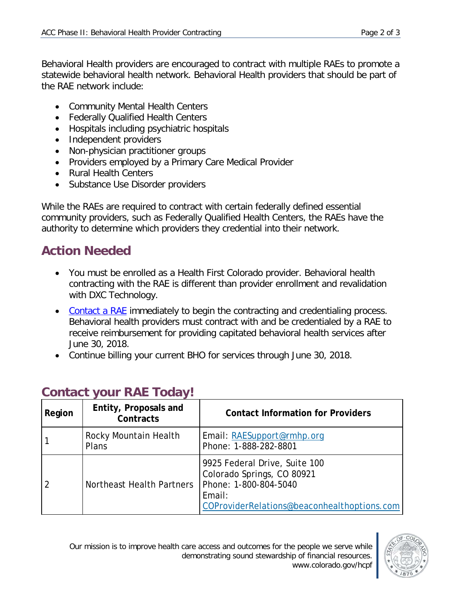Behavioral Health providers are encouraged to contract with multiple RAEs to promote a statewide behavioral health network. Behavioral Health providers that should be part of the RAE network include:

- Community Mental Health Centers
- Federally Qualified Health Centers
- Hospitals including psychiatric hospitals
- Independent providers
- Non-physician practitioner groups
- Providers employed by a Primary Care Medical Provider
- Rural Health Centers
- Substance Use Disorder providers

While the RAEs are required to contract with certain federally defined essential community providers, such as Federally Qualified Health Centers, the RAEs have the authority to determine which providers they credential into their network.

#### **Action Needed**

- You must be enrolled as a Health First Colorado provider. Behavioral health contracting with the RAE is different than provider enrollment and revalidation with DXC Technology.
- [Contact a RAE](https://www.colorado.gov/hcpf/accphase2) immediately to begin the contracting and credentialing process. Behavioral health providers must contract with and be credentialed by a RAE to receive reimbursement for providing capitated behavioral health services after June 30, 2018.
- Continue billing your current BHO for services through June 30, 2018.

| Region | Entity, Proposals and<br>Contracts | <b>Contact Information for Providers</b>                                                                                                      |
|--------|------------------------------------|-----------------------------------------------------------------------------------------------------------------------------------------------|
|        | Rocky Mountain Health<br>Plans     | Email: RAESupport@rmhp.org<br>Phone: 1-888-282-8801                                                                                           |
|        | Northeast Health Partners          | 9925 Federal Drive, Suite 100<br>Colorado Springs, CO 80921<br>Phone: 1-800-804-5040<br>Email:<br>COProviderRelations@beaconhealthoptions.com |

#### **Contact your RAE Today!**